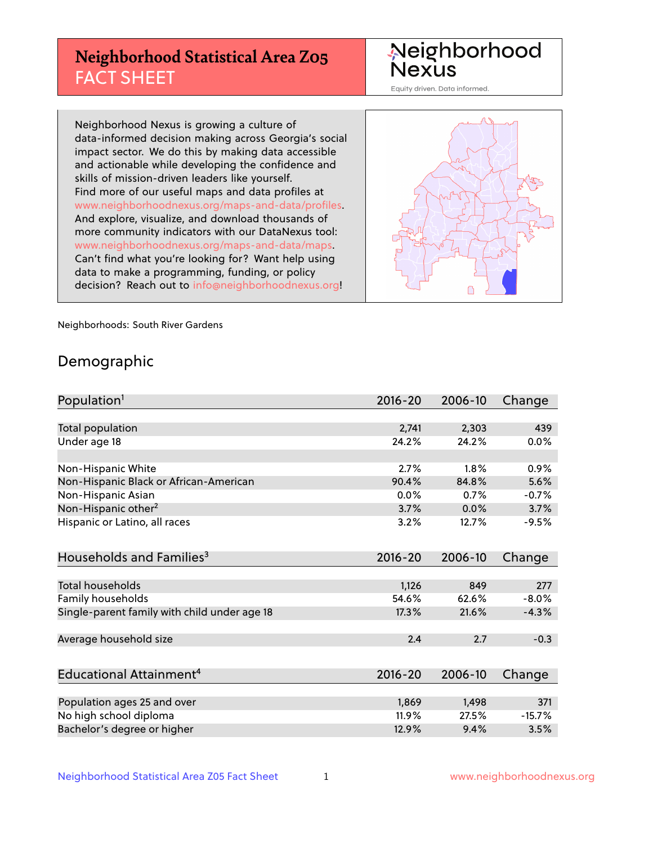## **Neighborhood Statistical Area Z05** FACT SHEET

Neighborhood Nexus

Equity driven. Data informed.

Neighborhood Nexus is growing a culture of data-informed decision making across Georgia's social impact sector. We do this by making data accessible and actionable while developing the confidence and skills of mission-driven leaders like yourself. Find more of our useful maps and data profiles at www.neighborhoodnexus.org/maps-and-data/profiles. And explore, visualize, and download thousands of more community indicators with our DataNexus tool: www.neighborhoodnexus.org/maps-and-data/maps. Can't find what you're looking for? Want help using data to make a programming, funding, or policy decision? Reach out to [info@neighborhoodnexus.org!](mailto:info@neighborhoodnexus.org)



Neighborhoods: South River Gardens

### Demographic

| Population <sup>1</sup>                      | $2016 - 20$ | 2006-10 | Change   |
|----------------------------------------------|-------------|---------|----------|
|                                              |             |         |          |
| Total population                             | 2,741       | 2,303   | 439      |
| Under age 18                                 | 24.2%       | 24.2%   | 0.0%     |
|                                              |             |         |          |
| Non-Hispanic White                           | 2.7%        | 1.8%    | 0.9%     |
| Non-Hispanic Black or African-American       | 90.4%       | 84.8%   | 5.6%     |
| Non-Hispanic Asian                           | 0.0%        | 0.7%    | $-0.7%$  |
| Non-Hispanic other <sup>2</sup>              | 3.7%        | 0.0%    | 3.7%     |
| Hispanic or Latino, all races                | 3.2%        | 12.7%   | $-9.5%$  |
|                                              |             |         |          |
| Households and Families <sup>3</sup>         | $2016 - 20$ | 2006-10 | Change   |
|                                              |             |         |          |
| <b>Total households</b>                      | 1,126       | 849     | 277      |
| Family households                            | 54.6%       | 62.6%   | $-8.0%$  |
| Single-parent family with child under age 18 | 17.3%       | 21.6%   | $-4.3%$  |
|                                              |             |         |          |
| Average household size                       | 2.4         | 2.7     | $-0.3$   |
|                                              |             |         |          |
| Educational Attainment <sup>4</sup>          | $2016 - 20$ | 2006-10 | Change   |
|                                              |             |         |          |
| Population ages 25 and over                  | 1,869       | 1,498   | 371      |
| No high school diploma                       | 11.9%       | 27.5%   | $-15.7%$ |
| Bachelor's degree or higher                  | 12.9%       | 9.4%    | 3.5%     |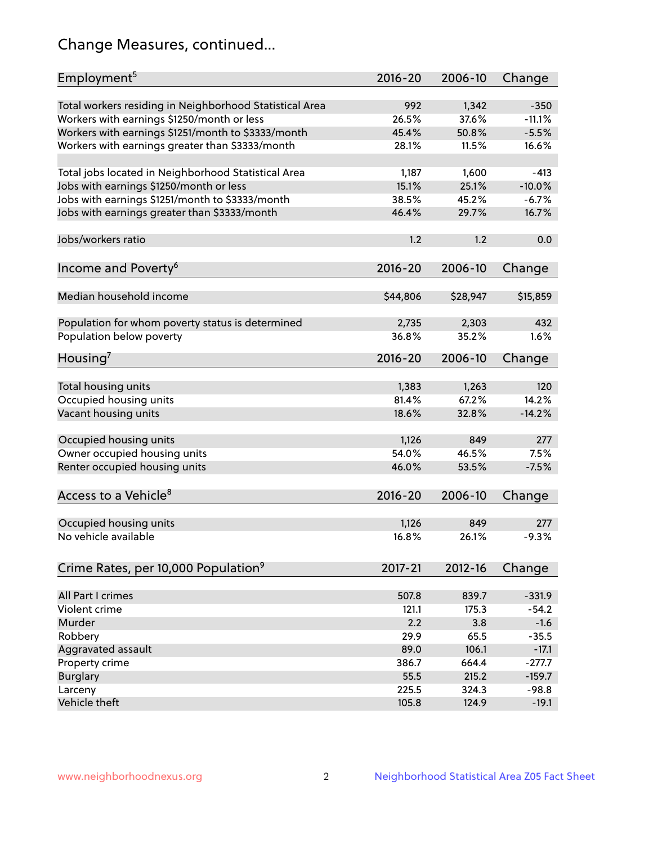## Change Measures, continued...

| Employment <sup>5</sup>                                 | $2016 - 20$  | 2006-10        | Change             |
|---------------------------------------------------------|--------------|----------------|--------------------|
|                                                         |              |                |                    |
| Total workers residing in Neighborhood Statistical Area | 992<br>26.5% | 1,342<br>37.6% | $-350$<br>$-11.1%$ |
| Workers with earnings \$1250/month or less              | 45.4%        | 50.8%          | $-5.5%$            |
| Workers with earnings \$1251/month to \$3333/month      | 28.1%        | 11.5%          | 16.6%              |
| Workers with earnings greater than \$3333/month         |              |                |                    |
| Total jobs located in Neighborhood Statistical Area     | 1,187        | 1,600          | $-413$             |
| Jobs with earnings \$1250/month or less                 | 15.1%        | 25.1%          | $-10.0%$           |
| Jobs with earnings \$1251/month to \$3333/month         | 38.5%        | 45.2%          | $-6.7%$            |
| Jobs with earnings greater than \$3333/month            | 46.4%        | 29.7%          | 16.7%              |
|                                                         |              |                |                    |
| Jobs/workers ratio                                      | 1.2          | 1.2            | 0.0                |
|                                                         |              |                |                    |
| Income and Poverty <sup>6</sup>                         | 2016-20      | 2006-10        | Change             |
|                                                         |              |                |                    |
| Median household income                                 | \$44,806     | \$28,947       | \$15,859           |
|                                                         |              |                |                    |
| Population for whom poverty status is determined        | 2,735        | 2,303          | 432                |
| Population below poverty                                | 36.8%        | 35.2%          | 1.6%               |
|                                                         |              |                |                    |
| Housing <sup>7</sup>                                    | 2016-20      | 2006-10        | Change             |
|                                                         |              |                |                    |
| Total housing units                                     | 1,383        | 1,263          | 120                |
| Occupied housing units                                  | 81.4%        | 67.2%          | 14.2%              |
| Vacant housing units                                    | 18.6%        | 32.8%          | $-14.2%$           |
|                                                         |              |                |                    |
| Occupied housing units                                  | 1,126        | 849            | 277                |
| Owner occupied housing units                            | 54.0%        | 46.5%          | 7.5%               |
| Renter occupied housing units                           | 46.0%        | 53.5%          | $-7.5%$            |
|                                                         |              |                |                    |
| Access to a Vehicle <sup>8</sup>                        | $2016 - 20$  | 2006-10        | Change             |
|                                                         |              |                |                    |
| Occupied housing units                                  | 1,126        | 849            | 277                |
| No vehicle available                                    | 16.8%        | 26.1%          | $-9.3%$            |
|                                                         |              |                |                    |
| Crime Rates, per 10,000 Population <sup>9</sup>         | 2017-21      | 2012-16        | Change             |
|                                                         |              |                |                    |
| All Part I crimes                                       | 507.8        | 839.7          | $-331.9$           |
| Violent crime                                           | 121.1        | 175.3          | $-54.2$            |
| Murder                                                  | 2.2          | 3.8            | $-1.6$             |
| Robbery                                                 | 29.9         | 65.5           | $-35.5$            |
| Aggravated assault                                      | 89.0         | 106.1          | $-17.1$            |
| Property crime                                          | 386.7        | 664.4          | $-277.7$           |
| <b>Burglary</b>                                         | 55.5         | 215.2          | $-159.7$           |
| Larceny                                                 | 225.5        | 324.3          | $-98.8$            |
| Vehicle theft                                           | 105.8        | 124.9          | $-19.1$            |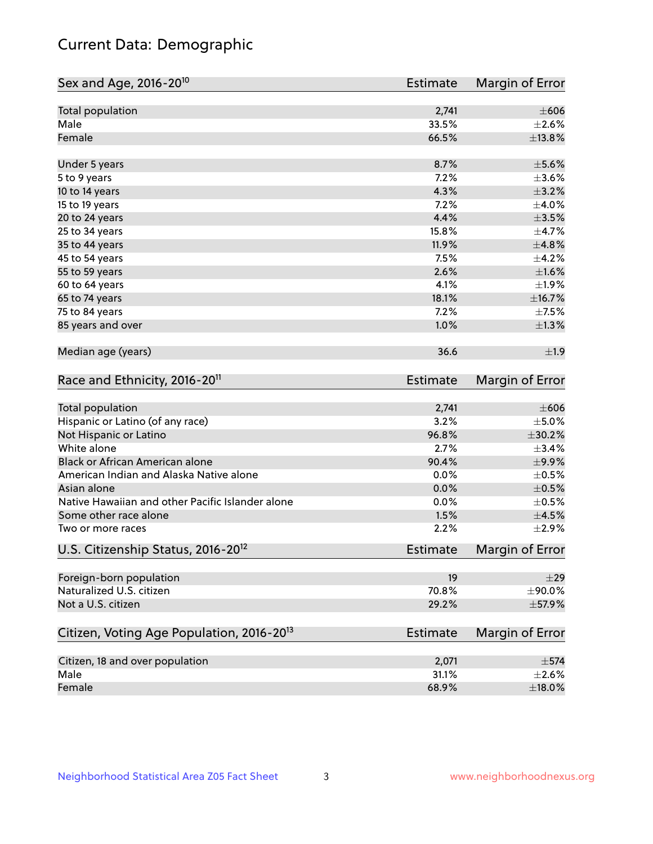## Current Data: Demographic

| $\pm 606$<br>Total population<br>2,741<br>Male<br>33.5%<br>Female<br>66.5%<br>8.7%<br>$\pm$ 5.6%<br>Under 5 years<br>7.2%<br>5 to 9 years<br>4.3%<br>$\pm$ 3.2%<br>10 to 14 years<br>7.2%<br>15 to 19 years<br>4.4%<br>$\pm 3.5\%$<br>20 to 24 years<br>15.8%<br>25 to 34 years<br>35 to 44 years<br>11.9%<br>7.5%<br>45 to 54 years<br>2.6%<br>55 to 59 years<br>4.1%<br>60 to 64 years<br>18.1%<br>±16.7%<br>65 to 74 years<br>7.2%<br>75 to 84 years<br>85 years and over<br>1.0%<br>$\pm 1.3\%$<br>Median age (years)<br>36.6<br>Race and Ethnicity, 2016-20 <sup>11</sup><br><b>Estimate</b><br>Total population<br>2,741<br>Hispanic or Latino (of any race)<br>3.2%<br>96.8%<br>±30.2%<br>Not Hispanic or Latino<br>White alone<br>2.7%<br>Black or African American alone<br>90.4%<br>±9.9%<br>0.0%<br>American Indian and Alaska Native alone<br>Asian alone<br>0.0%<br>Native Hawaiian and other Pacific Islander alone<br>0.0%<br>1.5%<br>Some other race alone<br>2.2%<br>$\pm 2.9\%$<br>Two or more races<br>U.S. Citizenship Status, 2016-20 <sup>12</sup><br><b>Estimate</b><br>Foreign-born population<br>19<br>Naturalized U.S. citizen<br>70.8%<br>Not a U.S. citizen<br>29.2%<br>$\pm$ 57.9% | Sex and Age, 2016-20 <sup>10</sup> | Estimate | Margin of Error |
|-----------------------------------------------------------------------------------------------------------------------------------------------------------------------------------------------------------------------------------------------------------------------------------------------------------------------------------------------------------------------------------------------------------------------------------------------------------------------------------------------------------------------------------------------------------------------------------------------------------------------------------------------------------------------------------------------------------------------------------------------------------------------------------------------------------------------------------------------------------------------------------------------------------------------------------------------------------------------------------------------------------------------------------------------------------------------------------------------------------------------------------------------------------------------------------------------------------------|------------------------------------|----------|-----------------|
| $\pm 2.6\%$<br>±13.8%<br>$\pm 3.6\%$<br>$\pm$ 4.0%<br>$\pm$ 4.7%<br>±4.8%<br>$\pm$ 4.2%<br>$\pm1.6\%$<br>$\pm 1.9\%$<br>$\pm$ 7.5%<br>±1.9<br>Margin of Error<br>$\pm 606$<br>$\pm$ 5.0%<br>±3.4%<br>$\pm$ 0.5%<br>$\pm$ 0.5%<br>$\pm$ 0.5%<br>$\pm 4.5\%$<br>Margin of Error<br>$\pm$ 29<br>±90.0%                                                                                                                                                                                                                                                                                                                                                                                                                                                                                                                                                                                                                                                                                                                                                                                                                                                                                                             |                                    |          |                 |
|                                                                                                                                                                                                                                                                                                                                                                                                                                                                                                                                                                                                                                                                                                                                                                                                                                                                                                                                                                                                                                                                                                                                                                                                                 |                                    |          |                 |
|                                                                                                                                                                                                                                                                                                                                                                                                                                                                                                                                                                                                                                                                                                                                                                                                                                                                                                                                                                                                                                                                                                                                                                                                                 |                                    |          |                 |
|                                                                                                                                                                                                                                                                                                                                                                                                                                                                                                                                                                                                                                                                                                                                                                                                                                                                                                                                                                                                                                                                                                                                                                                                                 |                                    |          |                 |
|                                                                                                                                                                                                                                                                                                                                                                                                                                                                                                                                                                                                                                                                                                                                                                                                                                                                                                                                                                                                                                                                                                                                                                                                                 |                                    |          |                 |
|                                                                                                                                                                                                                                                                                                                                                                                                                                                                                                                                                                                                                                                                                                                                                                                                                                                                                                                                                                                                                                                                                                                                                                                                                 |                                    |          |                 |
|                                                                                                                                                                                                                                                                                                                                                                                                                                                                                                                                                                                                                                                                                                                                                                                                                                                                                                                                                                                                                                                                                                                                                                                                                 |                                    |          |                 |
|                                                                                                                                                                                                                                                                                                                                                                                                                                                                                                                                                                                                                                                                                                                                                                                                                                                                                                                                                                                                                                                                                                                                                                                                                 |                                    |          |                 |
|                                                                                                                                                                                                                                                                                                                                                                                                                                                                                                                                                                                                                                                                                                                                                                                                                                                                                                                                                                                                                                                                                                                                                                                                                 |                                    |          |                 |
|                                                                                                                                                                                                                                                                                                                                                                                                                                                                                                                                                                                                                                                                                                                                                                                                                                                                                                                                                                                                                                                                                                                                                                                                                 |                                    |          |                 |
|                                                                                                                                                                                                                                                                                                                                                                                                                                                                                                                                                                                                                                                                                                                                                                                                                                                                                                                                                                                                                                                                                                                                                                                                                 |                                    |          |                 |
|                                                                                                                                                                                                                                                                                                                                                                                                                                                                                                                                                                                                                                                                                                                                                                                                                                                                                                                                                                                                                                                                                                                                                                                                                 |                                    |          |                 |
|                                                                                                                                                                                                                                                                                                                                                                                                                                                                                                                                                                                                                                                                                                                                                                                                                                                                                                                                                                                                                                                                                                                                                                                                                 |                                    |          |                 |
|                                                                                                                                                                                                                                                                                                                                                                                                                                                                                                                                                                                                                                                                                                                                                                                                                                                                                                                                                                                                                                                                                                                                                                                                                 |                                    |          |                 |
|                                                                                                                                                                                                                                                                                                                                                                                                                                                                                                                                                                                                                                                                                                                                                                                                                                                                                                                                                                                                                                                                                                                                                                                                                 |                                    |          |                 |
|                                                                                                                                                                                                                                                                                                                                                                                                                                                                                                                                                                                                                                                                                                                                                                                                                                                                                                                                                                                                                                                                                                                                                                                                                 |                                    |          |                 |
|                                                                                                                                                                                                                                                                                                                                                                                                                                                                                                                                                                                                                                                                                                                                                                                                                                                                                                                                                                                                                                                                                                                                                                                                                 |                                    |          |                 |
|                                                                                                                                                                                                                                                                                                                                                                                                                                                                                                                                                                                                                                                                                                                                                                                                                                                                                                                                                                                                                                                                                                                                                                                                                 |                                    |          |                 |
|                                                                                                                                                                                                                                                                                                                                                                                                                                                                                                                                                                                                                                                                                                                                                                                                                                                                                                                                                                                                                                                                                                                                                                                                                 |                                    |          |                 |
|                                                                                                                                                                                                                                                                                                                                                                                                                                                                                                                                                                                                                                                                                                                                                                                                                                                                                                                                                                                                                                                                                                                                                                                                                 |                                    |          |                 |
|                                                                                                                                                                                                                                                                                                                                                                                                                                                                                                                                                                                                                                                                                                                                                                                                                                                                                                                                                                                                                                                                                                                                                                                                                 |                                    |          |                 |
|                                                                                                                                                                                                                                                                                                                                                                                                                                                                                                                                                                                                                                                                                                                                                                                                                                                                                                                                                                                                                                                                                                                                                                                                                 |                                    |          |                 |
|                                                                                                                                                                                                                                                                                                                                                                                                                                                                                                                                                                                                                                                                                                                                                                                                                                                                                                                                                                                                                                                                                                                                                                                                                 |                                    |          |                 |
|                                                                                                                                                                                                                                                                                                                                                                                                                                                                                                                                                                                                                                                                                                                                                                                                                                                                                                                                                                                                                                                                                                                                                                                                                 |                                    |          |                 |
|                                                                                                                                                                                                                                                                                                                                                                                                                                                                                                                                                                                                                                                                                                                                                                                                                                                                                                                                                                                                                                                                                                                                                                                                                 |                                    |          |                 |
|                                                                                                                                                                                                                                                                                                                                                                                                                                                                                                                                                                                                                                                                                                                                                                                                                                                                                                                                                                                                                                                                                                                                                                                                                 |                                    |          |                 |
|                                                                                                                                                                                                                                                                                                                                                                                                                                                                                                                                                                                                                                                                                                                                                                                                                                                                                                                                                                                                                                                                                                                                                                                                                 |                                    |          |                 |
|                                                                                                                                                                                                                                                                                                                                                                                                                                                                                                                                                                                                                                                                                                                                                                                                                                                                                                                                                                                                                                                                                                                                                                                                                 |                                    |          |                 |
|                                                                                                                                                                                                                                                                                                                                                                                                                                                                                                                                                                                                                                                                                                                                                                                                                                                                                                                                                                                                                                                                                                                                                                                                                 |                                    |          |                 |
|                                                                                                                                                                                                                                                                                                                                                                                                                                                                                                                                                                                                                                                                                                                                                                                                                                                                                                                                                                                                                                                                                                                                                                                                                 |                                    |          |                 |
|                                                                                                                                                                                                                                                                                                                                                                                                                                                                                                                                                                                                                                                                                                                                                                                                                                                                                                                                                                                                                                                                                                                                                                                                                 |                                    |          |                 |
|                                                                                                                                                                                                                                                                                                                                                                                                                                                                                                                                                                                                                                                                                                                                                                                                                                                                                                                                                                                                                                                                                                                                                                                                                 |                                    |          |                 |
| Citizen, Voting Age Population, 2016-20 <sup>13</sup><br>Estimate<br>Margin of Error                                                                                                                                                                                                                                                                                                                                                                                                                                                                                                                                                                                                                                                                                                                                                                                                                                                                                                                                                                                                                                                                                                                            |                                    |          |                 |
| Citizen, 18 and over population<br>$\pm$ 574<br>2,071                                                                                                                                                                                                                                                                                                                                                                                                                                                                                                                                                                                                                                                                                                                                                                                                                                                                                                                                                                                                                                                                                                                                                           |                                    |          |                 |
| Male<br>31.1%<br>$\pm 2.6\%$                                                                                                                                                                                                                                                                                                                                                                                                                                                                                                                                                                                                                                                                                                                                                                                                                                                                                                                                                                                                                                                                                                                                                                                    |                                    |          |                 |
| 68.9%<br>Female<br>$\pm$ 18.0%                                                                                                                                                                                                                                                                                                                                                                                                                                                                                                                                                                                                                                                                                                                                                                                                                                                                                                                                                                                                                                                                                                                                                                                  |                                    |          |                 |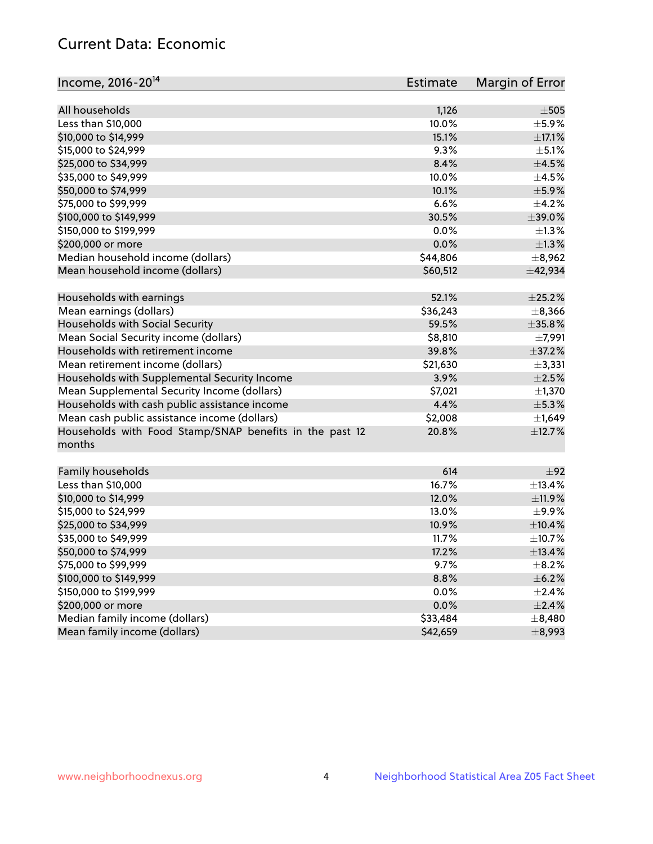## Current Data: Economic

| Income, 2016-20 <sup>14</sup>                                     | Estimate | Margin of Error |
|-------------------------------------------------------------------|----------|-----------------|
|                                                                   |          |                 |
| All households                                                    | 1,126    | $\pm$ 505       |
| Less than \$10,000                                                | 10.0%    | $\pm$ 5.9%      |
| \$10,000 to \$14,999                                              | 15.1%    | $\pm$ 17.1%     |
| \$15,000 to \$24,999                                              | 9.3%     | $\pm$ 5.1%      |
| \$25,000 to \$34,999                                              | 8.4%     | $\pm 4.5\%$     |
| \$35,000 to \$49,999                                              | 10.0%    | $\pm 4.5\%$     |
| \$50,000 to \$74,999                                              | 10.1%    | $\pm$ 5.9%      |
| \$75,000 to \$99,999                                              | 6.6%     | $\pm$ 4.2%      |
| \$100,000 to \$149,999                                            | 30.5%    | $\pm$ 39.0%     |
| \$150,000 to \$199,999                                            | 0.0%     | $\pm 1.3\%$     |
| \$200,000 or more                                                 | 0.0%     | $\pm 1.3\%$     |
| Median household income (dollars)                                 | \$44,806 | ±8,962          |
| Mean household income (dollars)                                   | \$60,512 | ±42,934         |
| Households with earnings                                          | 52.1%    | $\pm 25.2\%$    |
| Mean earnings (dollars)                                           | \$36,243 | ±8,366          |
| Households with Social Security                                   | 59.5%    | $\pm$ 35.8%     |
| Mean Social Security income (dollars)                             | \$8,810  | ±7,991          |
| Households with retirement income                                 | 39.8%    | ±37.2%          |
| Mean retirement income (dollars)                                  | \$21,630 | $\pm$ 3,331     |
| Households with Supplemental Security Income                      | 3.9%     | $\pm 2.5\%$     |
| Mean Supplemental Security Income (dollars)                       | \$7,021  | $\pm$ 1,370     |
| Households with cash public assistance income                     | 4.4%     | $\pm$ 5.3%      |
| Mean cash public assistance income (dollars)                      | \$2,008  | $\pm$ 1,649     |
| Households with Food Stamp/SNAP benefits in the past 12<br>months | 20.8%    | ±12.7%          |
| Family households                                                 | 614      | ±92             |
| Less than \$10,000                                                | 16.7%    | ±13.4%          |
| \$10,000 to \$14,999                                              | 12.0%    | ±11.9%          |
| \$15,000 to \$24,999                                              | 13.0%    | ±9.9%           |
| \$25,000 to \$34,999                                              | 10.9%    | $\pm$ 10.4%     |
| \$35,000 to \$49,999                                              | 11.7%    | ±10.7%          |
| \$50,000 to \$74,999                                              | 17.2%    | ±13.4%          |
| \$75,000 to \$99,999                                              | 9.7%     | $\pm$ 8.2%      |
| \$100,000 to \$149,999                                            | 8.8%     | $\pm$ 6.2%      |
| \$150,000 to \$199,999                                            | 0.0%     | $\pm 2.4\%$     |
| \$200,000 or more                                                 | 0.0%     | $\pm 2.4\%$     |
| Median family income (dollars)                                    | \$33,484 | $\pm$ 8,480     |
| Mean family income (dollars)                                      | \$42,659 | $\pm$ 8,993     |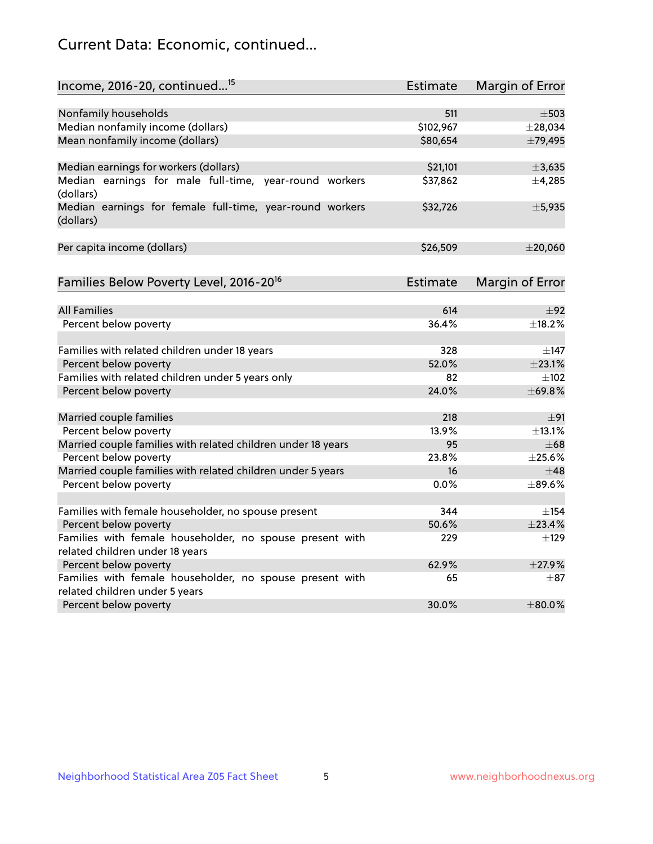## Current Data: Economic, continued...

| Income, 2016-20, continued <sup>15</sup>                                                    | <b>Estimate</b> | <b>Margin of Error</b> |
|---------------------------------------------------------------------------------------------|-----------------|------------------------|
|                                                                                             |                 |                        |
| Nonfamily households                                                                        | 511             | $\pm$ 503              |
| Median nonfamily income (dollars)                                                           | \$102,967       | $±$ 28,034             |
| Mean nonfamily income (dollars)                                                             | \$80,654        | ±79,495                |
| Median earnings for workers (dollars)                                                       | \$21,101        | ±3,635                 |
| Median earnings for male full-time, year-round workers<br>(dollars)                         | \$37,862        | ±4,285                 |
| Median earnings for female full-time, year-round workers<br>(dollars)                       | \$32,726        | ±5,935                 |
| Per capita income (dollars)                                                                 | \$26,509        | $±$ 20,060             |
| Families Below Poverty Level, 2016-20 <sup>16</sup>                                         | <b>Estimate</b> | <b>Margin of Error</b> |
|                                                                                             |                 |                        |
| <b>All Families</b>                                                                         | 614             | ±92                    |
| Percent below poverty                                                                       | 36.4%           | ±18.2%                 |
| Families with related children under 18 years                                               | 328             | $\pm$ 147              |
| Percent below poverty                                                                       | 52.0%           | ±23.1%                 |
| Families with related children under 5 years only                                           | 82              | $\pm 102$              |
| Percent below poverty                                                                       | 24.0%           | ±69.8%                 |
| Married couple families                                                                     | 218             | ±91                    |
| Percent below poverty                                                                       | 13.9%           | ±13.1%                 |
| Married couple families with related children under 18 years                                | 95              | $\pm 68$               |
| Percent below poverty                                                                       | 23.8%           | ±25.6%                 |
| Married couple families with related children under 5 years                                 | 16              | $\pm$ 48               |
| Percent below poverty                                                                       | $0.0\%$         | ±89.6%                 |
|                                                                                             |                 |                        |
| Families with female householder, no spouse present                                         | 344             | $\pm$ 154              |
| Percent below poverty                                                                       | 50.6%           | ±23.4%                 |
| Families with female householder, no spouse present with<br>related children under 18 years | 229             | $+129$                 |
| Percent below poverty                                                                       | 62.9%           | ±27.9%                 |
| Families with female householder, no spouse present with                                    | 65              | $\pm$ 87               |
| related children under 5 years                                                              |                 |                        |
| Percent below poverty                                                                       | 30.0%           | $\pm$ 80.0%            |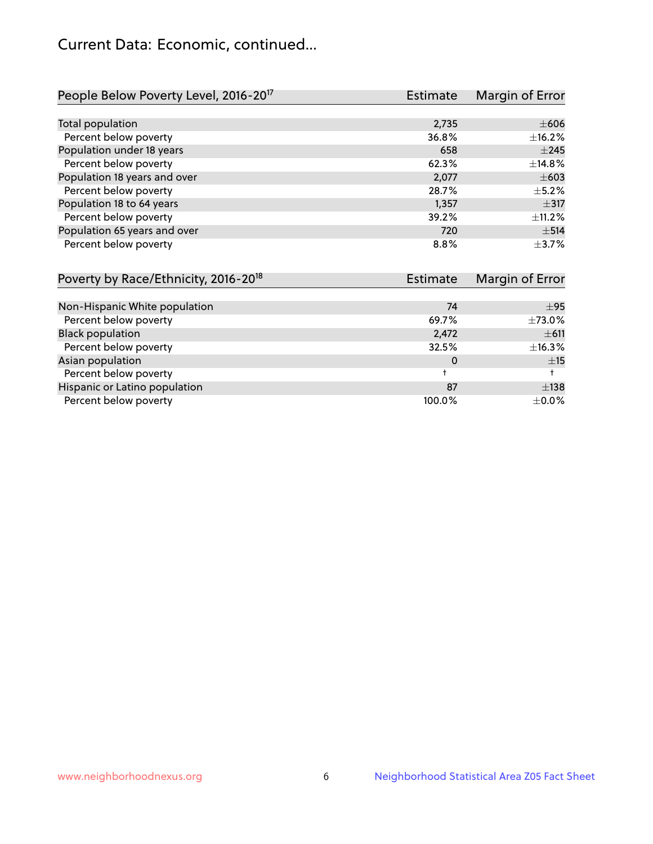## Current Data: Economic, continued...

| People Below Poverty Level, 2016-20 <sup>17</sup> | <b>Estimate</b> | Margin of Error |
|---------------------------------------------------|-----------------|-----------------|
|                                                   |                 |                 |
| Total population                                  | 2,735           | $\pm 606$       |
| Percent below poverty                             | 36.8%           | ±16.2%          |
| Population under 18 years                         | 658             | $\pm 245$       |
| Percent below poverty                             | 62.3%           | ±14.8%          |
| Population 18 years and over                      | 2,077           | $\pm 603$       |
| Percent below poverty                             | 28.7%           | $+5.2%$         |
| Population 18 to 64 years                         | 1,357           | $\pm$ 317       |
| Percent below poverty                             | 39.2%           | ±11.2%          |
| Population 65 years and over                      | 720             | $\pm$ 514       |
| Percent below poverty                             | 8.8%            | $\pm$ 3.7%      |

| Poverty by Race/Ethnicity, 2016-20 <sup>18</sup> | <b>Estimate</b> | Margin of Error |
|--------------------------------------------------|-----------------|-----------------|
|                                                  |                 |                 |
| Non-Hispanic White population                    | 74              | ±95             |
| Percent below poverty                            | 69.7%           | $\pm 73.0\%$    |
| <b>Black population</b>                          | 2,472           | $\pm$ 611       |
| Percent below poverty                            | 32.5%           | ±16.3%          |
| Asian population                                 | 0               | ±15             |
| Percent below poverty                            |                 |                 |
| Hispanic or Latino population                    | 87              | $\pm$ 138       |
| Percent below poverty                            | 100.0%          | $\pm$ 0.0%      |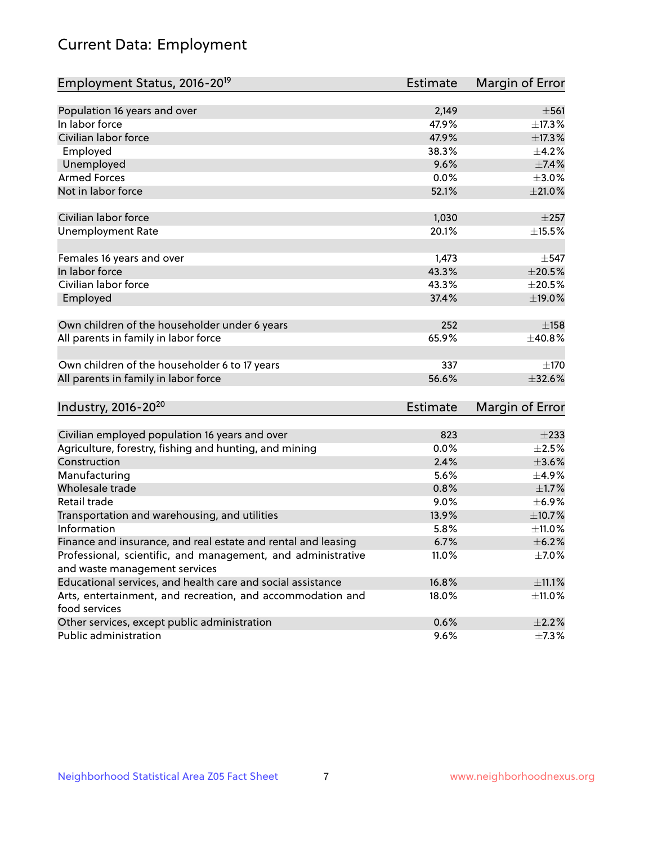# Current Data: Employment

| Employment Status, 2016-20 <sup>19</sup>                      | <b>Estimate</b> | Margin of Error |
|---------------------------------------------------------------|-----------------|-----------------|
|                                                               |                 |                 |
| Population 16 years and over                                  | 2,149           | $\pm$ 561       |
| In labor force                                                | 47.9%           | ±17.3%          |
| Civilian labor force                                          | 47.9%           | $\pm$ 17.3%     |
| Employed                                                      | 38.3%           | $\pm$ 4.2%      |
| Unemployed                                                    | 9.6%            | ±7.4%           |
| <b>Armed Forces</b>                                           | 0.0%            | $\pm 3.0\%$     |
| Not in labor force                                            | 52.1%           | $\pm 21.0\%$    |
| Civilian labor force                                          | 1,030           | $\pm 257$       |
| <b>Unemployment Rate</b>                                      | 20.1%           | $\pm$ 15.5%     |
|                                                               |                 |                 |
| Females 16 years and over                                     | 1,473           | $\pm$ 547       |
| In labor force                                                | 43.3%           | $\pm 20.5\%$    |
| Civilian labor force                                          | 43.3%           | $\pm 20.5\%$    |
| Employed                                                      | 37.4%           | $\pm$ 19.0%     |
| Own children of the householder under 6 years                 | 252             | ±158            |
| All parents in family in labor force                          | 65.9%           | ±40.8%          |
|                                                               |                 |                 |
| Own children of the householder 6 to 17 years                 | 337             | $\pm 170$       |
| All parents in family in labor force                          | 56.6%           | ±32.6%          |
|                                                               |                 |                 |
| Industry, 2016-20 <sup>20</sup>                               | Estimate        | Margin of Error |
| Civilian employed population 16 years and over                | 823             | $\pm 233$       |
| Agriculture, forestry, fishing and hunting, and mining        | 0.0%            | $\pm 2.5\%$     |
| Construction                                                  | 2.4%            | $\pm 3.6\%$     |
| Manufacturing                                                 | 5.6%            | $\pm$ 4.9%      |
| Wholesale trade                                               | 0.8%            | $\pm1.7\%$      |
| Retail trade                                                  | 9.0%            | $\pm$ 6.9%      |
| Transportation and warehousing, and utilities                 | 13.9%           | $\pm$ 10.7%     |
| Information                                                   | 5.8%            | ±11.0%          |
| Finance and insurance, and real estate and rental and leasing | 6.7%            | $\pm$ 6.2%      |
| Professional, scientific, and management, and administrative  | 11.0%           | $\pm$ 7.0%      |
| and waste management services                                 |                 |                 |
| Educational services, and health care and social assistance   | 16.8%           | $\pm$ 11.1%     |
| Arts, entertainment, and recreation, and accommodation and    | 18.0%           | ±11.0%          |
| food services                                                 |                 |                 |
| Other services, except public administration                  | 0.6%            | $\pm 2.2\%$     |
| Public administration                                         | 9.6%            | $\pm$ 7.3%      |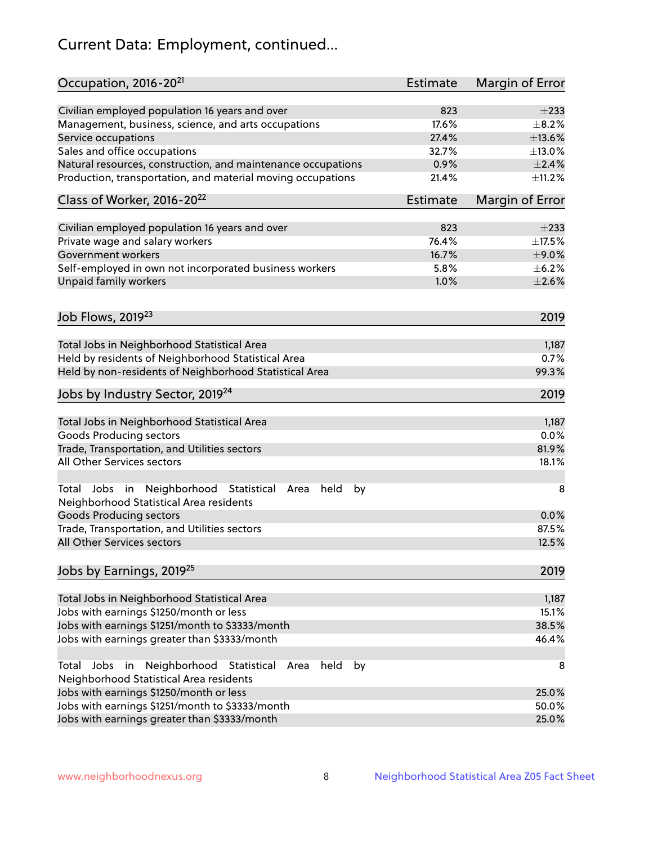# Current Data: Employment, continued...

| Occupation, 2016-20 <sup>21</sup>                                                                       | Estimate | Margin of Error |
|---------------------------------------------------------------------------------------------------------|----------|-----------------|
| Civilian employed population 16 years and over                                                          | 823      | $\pm 233$       |
| Management, business, science, and arts occupations                                                     | 17.6%    | $\pm$ 8.2%      |
| Service occupations                                                                                     | 27.4%    | ±13.6%          |
| Sales and office occupations                                                                            | 32.7%    | $\pm$ 13.0%     |
| Natural resources, construction, and maintenance occupations                                            | 0.9%     | $\pm 2.4\%$     |
| Production, transportation, and material moving occupations                                             | 21.4%    | $\pm$ 11.2%     |
| Class of Worker, 2016-20 <sup>22</sup>                                                                  | Estimate | Margin of Error |
| Civilian employed population 16 years and over                                                          | 823      | $\pm 233$       |
| Private wage and salary workers                                                                         | 76.4%    | $\pm$ 17.5%     |
| Government workers                                                                                      | 16.7%    | $\pm$ 9.0%      |
| Self-employed in own not incorporated business workers                                                  | 5.8%     | $\pm$ 6.2%      |
| Unpaid family workers                                                                                   | 1.0%     | $\pm 2.6\%$     |
|                                                                                                         |          |                 |
| Job Flows, 2019 <sup>23</sup>                                                                           |          | 2019            |
| Total Jobs in Neighborhood Statistical Area                                                             |          | 1,187           |
| Held by residents of Neighborhood Statistical Area                                                      |          | 0.7%            |
| Held by non-residents of Neighborhood Statistical Area                                                  |          | 99.3%           |
| Jobs by Industry Sector, 2019 <sup>24</sup>                                                             |          | 2019            |
| Total Jobs in Neighborhood Statistical Area                                                             |          | 1,187           |
| <b>Goods Producing sectors</b>                                                                          |          | 0.0%            |
| Trade, Transportation, and Utilities sectors                                                            |          | 81.9%           |
| All Other Services sectors                                                                              |          | 18.1%           |
| Total Jobs in Neighborhood Statistical<br>held<br>by<br>Area<br>Neighborhood Statistical Area residents |          | 8               |
| <b>Goods Producing sectors</b>                                                                          |          | 0.0%            |
| Trade, Transportation, and Utilities sectors                                                            |          | 87.5%           |
| All Other Services sectors                                                                              |          | 12.5%           |
| Jobs by Earnings, 2019 <sup>25</sup>                                                                    |          | 2019            |
| Total Jobs in Neighborhood Statistical Area                                                             |          | 1,187           |
| Jobs with earnings \$1250/month or less                                                                 |          | 15.1%           |
| Jobs with earnings \$1251/month to \$3333/month                                                         |          | 38.5%           |
| Jobs with earnings greater than \$3333/month                                                            |          | 46.4%           |
| Neighborhood Statistical<br>Jobs<br>in<br>held<br>by<br>Total<br>Area                                   |          | 8               |
| Neighborhood Statistical Area residents                                                                 |          |                 |
| Jobs with earnings \$1250/month or less                                                                 |          | 25.0%           |
| Jobs with earnings \$1251/month to \$3333/month                                                         |          | 50.0%           |
| Jobs with earnings greater than \$3333/month                                                            |          | 25.0%           |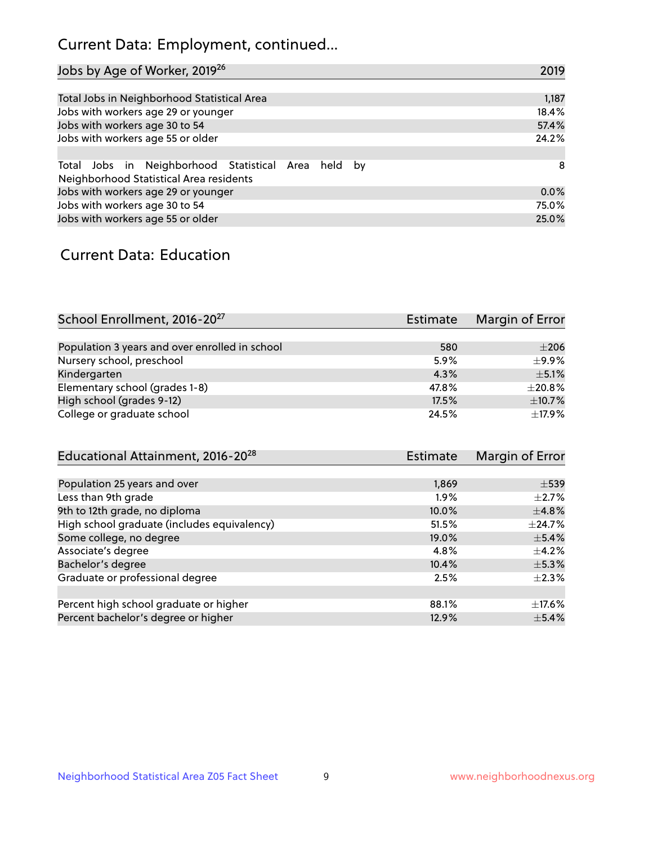## Current Data: Employment, continued...

| Jobs by Age of Worker, 2019 <sup>26</sup>                                                      | 2019  |
|------------------------------------------------------------------------------------------------|-------|
|                                                                                                |       |
| Total Jobs in Neighborhood Statistical Area                                                    | 1,187 |
| Jobs with workers age 29 or younger                                                            | 18.4% |
| Jobs with workers age 30 to 54                                                                 | 57.4% |
| Jobs with workers age 55 or older                                                              | 24.2% |
|                                                                                                |       |
| Total Jobs in Neighborhood Statistical Area held by<br>Neighborhood Statistical Area residents | -8    |
| Jobs with workers age 29 or younger                                                            | 0.0%  |
| Jobs with workers age 30 to 54                                                                 | 75.0% |
| Jobs with workers age 55 or older                                                              | 25.0% |

### Current Data: Education

| School Enrollment, 2016-20 <sup>27</sup>       | <b>Estimate</b> | Margin of Error |
|------------------------------------------------|-----------------|-----------------|
|                                                |                 |                 |
| Population 3 years and over enrolled in school | 580             | $\pm 206$       |
| Nursery school, preschool                      | 5.9%            | ±9.9%           |
| Kindergarten                                   | 4.3%            | $\pm$ 5.1%      |
| Elementary school (grades 1-8)                 | 47.8%           | $\pm 20.8\%$    |
| High school (grades 9-12)                      | 17.5%           | $\pm$ 10.7%     |
| College or graduate school                     | 24.5%           | $+17.9%$        |

| Educational Attainment, 2016-20 <sup>28</sup> | Estimate | Margin of Error |
|-----------------------------------------------|----------|-----------------|
|                                               |          |                 |
| Population 25 years and over                  | 1,869    | $\pm$ 539       |
| Less than 9th grade                           | $1.9\%$  | $\pm 2.7\%$     |
| 9th to 12th grade, no diploma                 | 10.0%    | $\pm$ 4.8%      |
| High school graduate (includes equivalency)   | 51.5%    | $+24.7%$        |
| Some college, no degree                       | 19.0%    | $\pm$ 5.4%      |
| Associate's degree                            | 4.8%     | $\pm$ 4.2%      |
| Bachelor's degree                             | 10.4%    | $\pm$ 5.3%      |
| Graduate or professional degree               | 2.5%     | $\pm 2.3\%$     |
|                                               |          |                 |
| Percent high school graduate or higher        | 88.1%    | $\pm$ 17.6%     |
| Percent bachelor's degree or higher           | 12.9%    | $\pm$ 5.4%      |
|                                               |          |                 |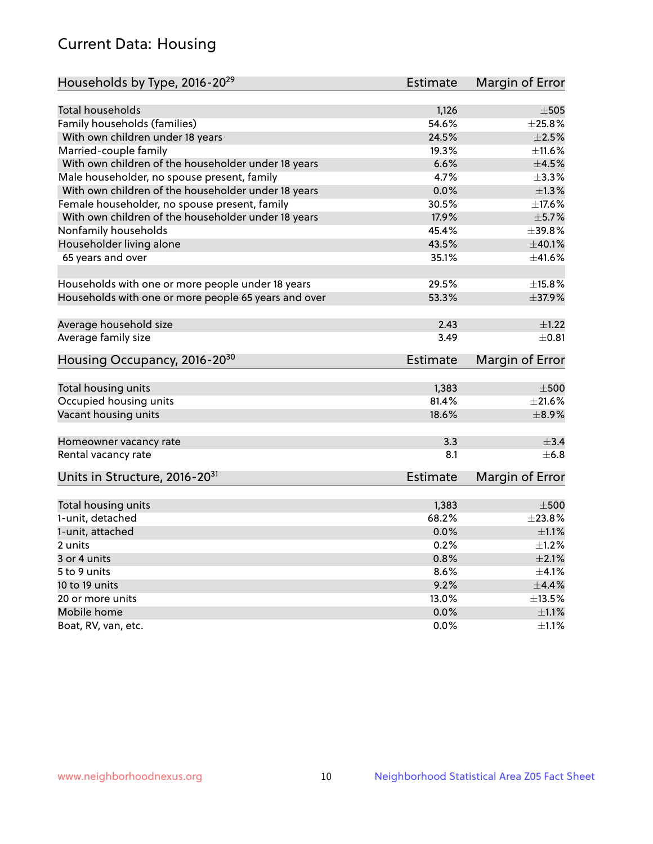## Current Data: Housing

| Households by Type, 2016-20 <sup>29</sup>            | Estimate        | Margin of Error |
|------------------------------------------------------|-----------------|-----------------|
|                                                      |                 |                 |
| Total households                                     | 1,126           | $\pm$ 505       |
| Family households (families)                         | 54.6%           | ±25.8%          |
| With own children under 18 years                     | 24.5%           | $\pm 2.5\%$     |
| Married-couple family                                | 19.3%           | ±11.6%          |
| With own children of the householder under 18 years  | 6.6%            | $\pm 4.5\%$     |
| Male householder, no spouse present, family          | 4.7%            | ±3.3%           |
| With own children of the householder under 18 years  | 0.0%            | $\pm 1.3\%$     |
| Female householder, no spouse present, family        | 30.5%           | $\pm$ 17.6%     |
| With own children of the householder under 18 years  | 17.9%           | $\pm$ 5.7%      |
| Nonfamily households                                 | 45.4%           | ±39.8%          |
| Householder living alone                             | 43.5%           | ±40.1%          |
| 65 years and over                                    | 35.1%           | ±41.6%          |
|                                                      |                 |                 |
| Households with one or more people under 18 years    | 29.5%           | $\pm$ 15.8%     |
| Households with one or more people 65 years and over | 53.3%           | $\pm$ 37.9%     |
| Average household size                               | 2.43            | $\pm$ 1.22      |
| Average family size                                  | 3.49            | $\pm$ 0.81      |
|                                                      |                 |                 |
| Housing Occupancy, 2016-20 <sup>30</sup>             | <b>Estimate</b> | Margin of Error |
| Total housing units                                  | 1,383           | $\pm 500$       |
| Occupied housing units                               | 81.4%           | $\pm 21.6\%$    |
| Vacant housing units                                 | 18.6%           | $\pm$ 8.9%      |
|                                                      |                 |                 |
| Homeowner vacancy rate                               | 3.3             | $\pm$ 3.4       |
| Rental vacancy rate                                  | 8.1             | $+6.8$          |
| Units in Structure, 2016-20 <sup>31</sup>            | <b>Estimate</b> | Margin of Error |
|                                                      |                 |                 |
| Total housing units                                  | 1,383           | $\pm 500$       |
| 1-unit, detached                                     | 68.2%           | ±23.8%          |
| 1-unit, attached                                     | 0.0%            | $\pm 1.1\%$     |
| 2 units                                              | 0.2%            | $\pm 1.2\%$     |
| 3 or 4 units                                         | 0.8%            | $\pm 2.1\%$     |
| 5 to 9 units                                         | 8.6%            | $\pm 4.1\%$     |
| 10 to 19 units                                       | 9.2%            | $\pm$ 4.4%      |
| 20 or more units                                     | 13.0%           | $\pm$ 13.5%     |
| Mobile home                                          | 0.0%            | $\pm$ 1.1%      |
| Boat, RV, van, etc.                                  | 0.0%            | $\pm 1.1\%$     |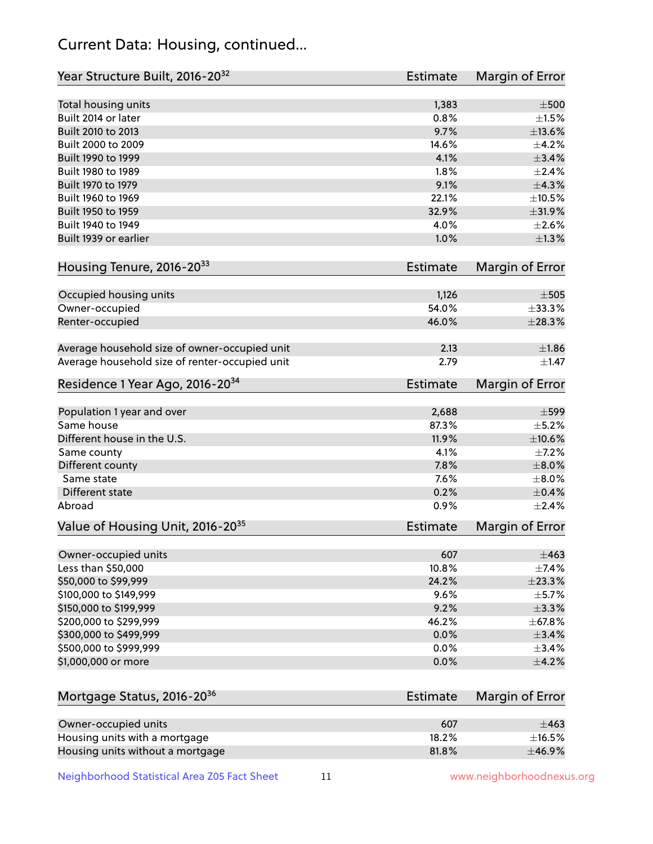## Current Data: Housing, continued...

| Year Structure Built, 2016-20 <sup>32</sup>    | Estimate        | Margin of Error |
|------------------------------------------------|-----------------|-----------------|
|                                                |                 |                 |
| Total housing units                            | 1,383           | $\pm 500$       |
| Built 2014 or later                            | 0.8%            | $\pm 1.5\%$     |
| Built 2010 to 2013                             | 9.7%            | $\pm$ 13.6%     |
| Built 2000 to 2009                             | 14.6%           | $\pm$ 4.2%      |
| Built 1990 to 1999                             | 4.1%            | $\pm$ 3.4%      |
| Built 1980 to 1989                             | 1.8%            | $\pm 2.4\%$     |
| Built 1970 to 1979                             | 9.1%            | $\pm$ 4.3%      |
| Built 1960 to 1969                             | 22.1%           | $\pm 10.5\%$    |
| Built 1950 to 1959                             | 32.9%           | ±31.9%          |
| Built 1940 to 1949                             | 4.0%            | $\pm 2.6\%$     |
| Built 1939 or earlier                          | 1.0%            | $\pm 1.3\%$     |
| Housing Tenure, 2016-20 <sup>33</sup>          | <b>Estimate</b> | Margin of Error |
|                                                |                 |                 |
| Occupied housing units                         | 1,126           | $\pm$ 505       |
| Owner-occupied                                 | 54.0%           | $\pm$ 33.3%     |
| Renter-occupied                                | 46.0%           | $\pm 28.3\%$    |
| Average household size of owner-occupied unit  | 2.13            | $\pm 1.86$      |
| Average household size of renter-occupied unit | 2.79            | $\pm 1.47$      |
|                                                |                 |                 |
| Residence 1 Year Ago, 2016-20 <sup>34</sup>    | Estimate        | Margin of Error |
| Population 1 year and over                     | 2,688           | $\pm$ 599       |
| Same house                                     | 87.3%           | $\pm$ 5.2%      |
| Different house in the U.S.                    | 11.9%           | $\pm 10.6\%$    |
| Same county                                    | 4.1%            | $\pm$ 7.2%      |
| Different county                               | 7.8%            | $\pm 8.0\%$     |
| Same state                                     | 7.6%            | $\pm 8.0\%$     |
| Different state                                | 0.2%            | $\pm$ 0.4%      |
| Abroad                                         | 0.9%            | $\pm 2.4\%$     |
|                                                |                 |                 |
| Value of Housing Unit, 2016-20 <sup>35</sup>   | <b>Estimate</b> | Margin of Error |
| Owner-occupied units                           | 607             | $\pm$ 463       |
| Less than \$50,000                             | 10.8%           | $\pm$ 7.4%      |
| \$50,000 to \$99,999                           | 24.2%           | ±23.3%          |
| \$100,000 to \$149,999                         | 9.6%            | $\pm$ 5.7%      |
| \$150,000 to \$199,999                         | 9.2%            | $\pm$ 3.3%      |
| \$200,000 to \$299,999                         | 46.2%           | $±$ 67.8%       |
| \$300,000 to \$499,999                         | 0.0%            | $\pm$ 3.4%      |
| \$500,000 to \$999,999                         | 0.0%            | $\pm$ 3.4%      |
| \$1,000,000 or more                            | 0.0%            | $\pm$ 4.2%      |
|                                                |                 |                 |
| Mortgage Status, 2016-20 <sup>36</sup>         | Estimate        | Margin of Error |
|                                                |                 |                 |
| Owner-occupied units                           | 607             | $\pm 463$       |
| Housing units with a mortgage                  | 18.2%           | $\pm$ 16.5%     |
| Housing units without a mortgage               | 81.8%           | ±46.9%          |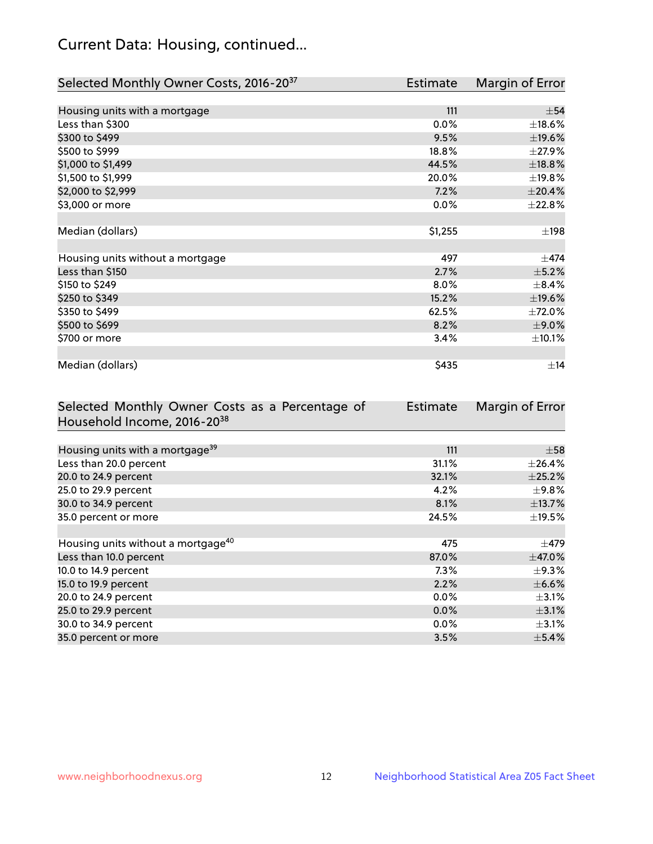## Current Data: Housing, continued...

| Selected Monthly Owner Costs, 2016-20 <sup>37</sup> | Estimate | Margin of Error |
|-----------------------------------------------------|----------|-----------------|
|                                                     |          |                 |
| Housing units with a mortgage                       | 111      | $\pm$ 54        |
| Less than \$300                                     | 0.0%     | $\pm$ 18.6%     |
| \$300 to \$499                                      | 9.5%     | ±19.6%          |
| \$500 to \$999                                      | 18.8%    | ±27.9%          |
| \$1,000 to \$1,499                                  | 44.5%    | ±18.8%          |
| \$1,500 to \$1,999                                  | 20.0%    | ±19.8%          |
| \$2,000 to \$2,999                                  | 7.2%     | $\pm 20.4\%$    |
| \$3,000 or more                                     | 0.0%     | ±22.8%          |
|                                                     |          |                 |
| Median (dollars)                                    | \$1,255  | $\pm$ 198       |
|                                                     |          |                 |
| Housing units without a mortgage                    | 497      | $\pm$ 474       |
| Less than \$150                                     | 2.7%     | $\pm$ 5.2%      |
| \$150 to \$249                                      | 8.0%     | $\pm$ 8.4%      |
| \$250 to \$349                                      | 15.2%    | ±19.6%          |
| \$350 to \$499                                      | 62.5%    | ±72.0%          |
| \$500 to \$699                                      | 8.2%     | $\pm$ 9.0%      |
| \$700 or more                                       | 3.4%     | ±10.1%          |
|                                                     |          |                 |
| Median (dollars)                                    | \$435    | $\pm$ 14        |

| Selected Monthly Owner Costs as a Percentage of | <b>Estimate</b> | Margin of Error |
|-------------------------------------------------|-----------------|-----------------|
| Household Income, 2016-20 <sup>38</sup>         |                 |                 |
|                                                 |                 |                 |
| Housing units with a mortgage <sup>39</sup>     | 111             | $\pm$ 58        |
| Less than 20.0 percent                          | 31.1%           | $\pm$ 26.4%     |
| 20.0 to 24.9 percent                            | 32.1%           | ±25.2%          |
| 25.0 to 29.9 percent                            | 4.2%            | $\pm$ 9.8%      |
| 30.0 to 34.9 percent                            | 8.1%            | ±13.7%          |
| 35.0 percent or more                            | 24.5%           | $\pm$ 19.5%     |
|                                                 |                 |                 |
| Housing units without a mortgage <sup>40</sup>  | 475             | $\pm$ 479       |
| Less than 10.0 percent                          | 87.0%           | $\pm$ 47.0%     |
| 10.0 to 14.9 percent                            | 7.3%            | $\pm$ 9.3%      |
| 15.0 to 19.9 percent                            | 2.2%            | $\pm$ 6.6%      |
| 20.0 to 24.9 percent                            | $0.0\%$         | $\pm$ 3.1%      |
| 25.0 to 29.9 percent                            | 0.0%            | $\pm$ 3.1%      |
| 30.0 to 34.9 percent                            | $0.0\%$         | $\pm$ 3.1%      |
| 35.0 percent or more                            | 3.5%            | $\pm$ 5.4%      |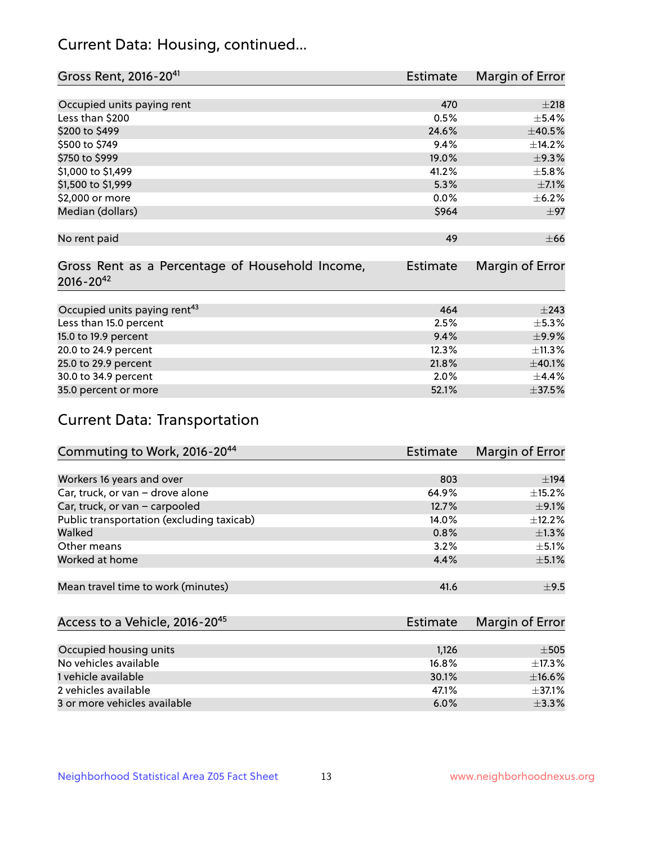## Current Data: Housing, continued...

| Gross Rent, 2016-20 <sup>41</sup>                                   | <b>Estimate</b> | Margin of Error |
|---------------------------------------------------------------------|-----------------|-----------------|
|                                                                     |                 |                 |
| Occupied units paying rent                                          | 470             | ±218            |
| Less than \$200                                                     | 0.5%            | $\pm$ 5.4%      |
| \$200 to \$499                                                      | 24.6%           | ±40.5%          |
| \$500 to \$749                                                      | 9.4%            | ±14.2%          |
| \$750 to \$999                                                      | 19.0%           | $\pm$ 9.3%      |
| \$1,000 to \$1,499                                                  | 41.2%           | ±5.8%           |
| \$1,500 to \$1,999                                                  | 5.3%            | $\pm$ 7.1%      |
| \$2,000 or more                                                     | 0.0%            | $\pm$ 6.2%      |
| Median (dollars)                                                    | \$964           | $\pm$ 97        |
|                                                                     |                 |                 |
| No rent paid                                                        | 49              | $\pm 66$        |
| Gross Rent as a Percentage of Household Income,<br>$2016 - 20^{42}$ | Estimate        | Margin of Error |
| Occupied units paying rent <sup>43</sup>                            | 464             | $\pm$ 243       |
|                                                                     |                 |                 |
| Less than 15.0 percent                                              | 2.5%            | ±5.3%           |
| 15.0 to 19.9 percent                                                | 9.4%            | $\pm$ 9.9%      |
| 20.0 to 24.9 percent                                                | 12.3%           | ±11.3%          |
| 25.0 to 29.9 percent                                                | 21.8%           | ±40.1%          |
| 30.0 to 34.9 percent                                                | 2.0%            | ±4.4%           |
| 35.0 percent or more                                                | 52.1%           | ±37.5%          |

# Current Data: Transportation

| Commuting to Work, 2016-20 <sup>44</sup>  | Estimate | Margin of Error |
|-------------------------------------------|----------|-----------------|
|                                           |          |                 |
| Workers 16 years and over                 | 803      | ±194            |
| Car, truck, or van - drove alone          | 64.9%    | $\pm$ 15.2%     |
| Car, truck, or van - carpooled            | 12.7%    | $\pm$ 9.1%      |
| Public transportation (excluding taxicab) | $14.0\%$ | ±12.2%          |
| Walked                                    | 0.8%     | $\pm 1.3\%$     |
| Other means                               | 3.2%     | $\pm$ 5.1%      |
| Worked at home                            | 4.4%     | $\pm$ 5.1%      |
|                                           |          |                 |
| Mean travel time to work (minutes)        | 41.6     | $\pm$ 9.5       |

| Access to a Vehicle, 2016-20 <sup>45</sup> | Estimate | Margin of Error |
|--------------------------------------------|----------|-----------------|
|                                            |          |                 |
| Occupied housing units                     | 1,126    | $\pm$ 505       |
| No vehicles available                      | 16.8%    | $\pm$ 17.3%     |
| 1 vehicle available                        | 30.1%    | $\pm$ 16.6%     |
| 2 vehicles available                       | 47.1%    | $+37.1%$        |
| 3 or more vehicles available               | 6.0%     | $\pm$ 3.3%      |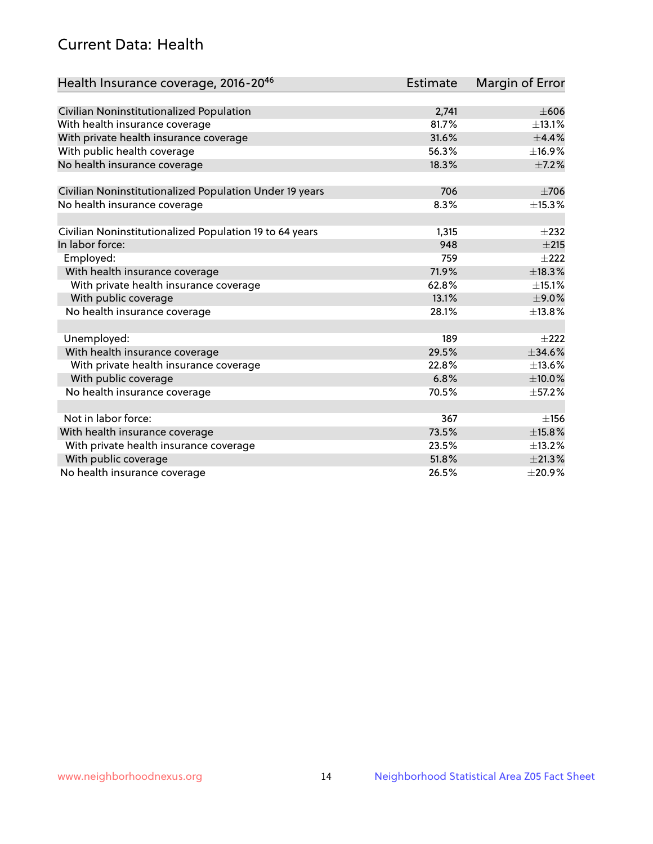## Current Data: Health

| Health Insurance coverage, 2016-2046                    | <b>Estimate</b> | <b>Margin of Error</b> |
|---------------------------------------------------------|-----------------|------------------------|
|                                                         |                 |                        |
| Civilian Noninstitutionalized Population                | 2,741           | $\pm 606$              |
| With health insurance coverage                          | 81.7%           | $\pm$ 13.1%            |
| With private health insurance coverage                  | 31.6%           | $\pm$ 4.4%             |
| With public health coverage                             | 56.3%           | ±16.9%                 |
| No health insurance coverage                            | 18.3%           | $\pm$ 7.2%             |
| Civilian Noninstitutionalized Population Under 19 years | 706             | $\pm 706$              |
| No health insurance coverage                            | 8.3%            | ±15.3%                 |
|                                                         |                 |                        |
| Civilian Noninstitutionalized Population 19 to 64 years | 1,315           | $\pm 232$              |
| In labor force:                                         | 948             | ±215                   |
| Employed:                                               | 759             | $\pm 222$              |
| With health insurance coverage                          | 71.9%           | ±18.3%                 |
| With private health insurance coverage                  | 62.8%           | ±15.1%                 |
| With public coverage                                    | 13.1%           | $\pm$ 9.0%             |
| No health insurance coverage                            | 28.1%           | ±13.8%                 |
|                                                         |                 |                        |
| Unemployed:                                             | 189             | $+222$                 |
| With health insurance coverage                          | 29.5%           | $\pm$ 34.6%            |
| With private health insurance coverage                  | 22.8%           | ±13.6%                 |
| With public coverage                                    | 6.8%            | $\pm$ 10.0%            |
| No health insurance coverage                            | 70.5%           | ±57.2%                 |
|                                                         |                 |                        |
| Not in labor force:                                     | 367             | ±156                   |
| With health insurance coverage                          | 73.5%           | ±15.8%                 |
| With private health insurance coverage                  | 23.5%           | ±13.2%                 |
| With public coverage                                    | 51.8%           | ±21.3%                 |
| No health insurance coverage                            | 26.5%           | $\pm 20.9\%$           |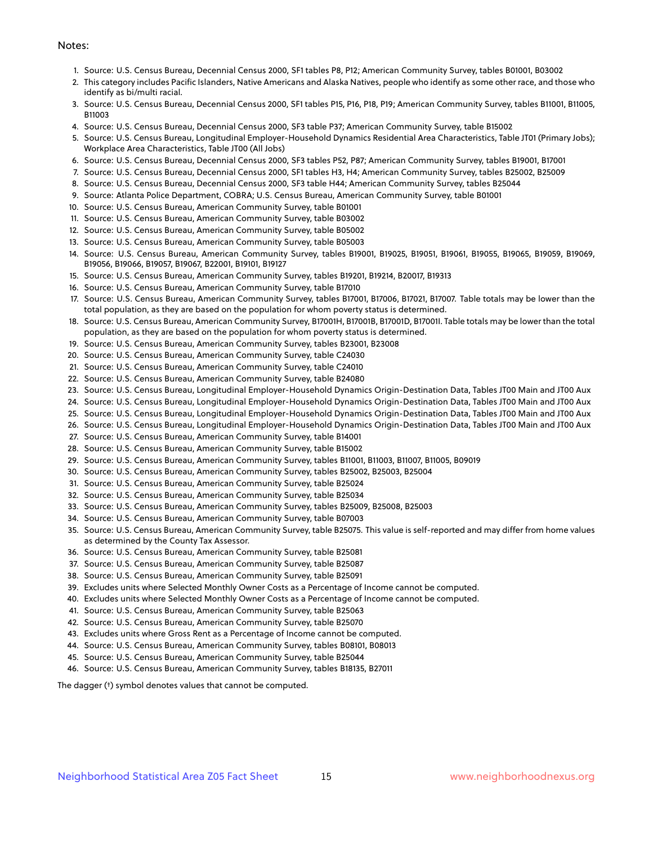#### Notes:

- 1. Source: U.S. Census Bureau, Decennial Census 2000, SF1 tables P8, P12; American Community Survey, tables B01001, B03002
- 2. This category includes Pacific Islanders, Native Americans and Alaska Natives, people who identify as some other race, and those who identify as bi/multi racial.
- 3. Source: U.S. Census Bureau, Decennial Census 2000, SF1 tables P15, P16, P18, P19; American Community Survey, tables B11001, B11005, B11003
- 4. Source: U.S. Census Bureau, Decennial Census 2000, SF3 table P37; American Community Survey, table B15002
- 5. Source: U.S. Census Bureau, Longitudinal Employer-Household Dynamics Residential Area Characteristics, Table JT01 (Primary Jobs); Workplace Area Characteristics, Table JT00 (All Jobs)
- 6. Source: U.S. Census Bureau, Decennial Census 2000, SF3 tables P52, P87; American Community Survey, tables B19001, B17001
- 7. Source: U.S. Census Bureau, Decennial Census 2000, SF1 tables H3, H4; American Community Survey, tables B25002, B25009
- 8. Source: U.S. Census Bureau, Decennial Census 2000, SF3 table H44; American Community Survey, tables B25044
- 9. Source: Atlanta Police Department, COBRA; U.S. Census Bureau, American Community Survey, table B01001
- 10. Source: U.S. Census Bureau, American Community Survey, table B01001
- 11. Source: U.S. Census Bureau, American Community Survey, table B03002
- 12. Source: U.S. Census Bureau, American Community Survey, table B05002
- 13. Source: U.S. Census Bureau, American Community Survey, table B05003
- 14. Source: U.S. Census Bureau, American Community Survey, tables B19001, B19025, B19051, B19061, B19055, B19065, B19059, B19069, B19056, B19066, B19057, B19067, B22001, B19101, B19127
- 15. Source: U.S. Census Bureau, American Community Survey, tables B19201, B19214, B20017, B19313
- 16. Source: U.S. Census Bureau, American Community Survey, table B17010
- 17. Source: U.S. Census Bureau, American Community Survey, tables B17001, B17006, B17021, B17007. Table totals may be lower than the total population, as they are based on the population for whom poverty status is determined.
- 18. Source: U.S. Census Bureau, American Community Survey, B17001H, B17001B, B17001D, B17001I. Table totals may be lower than the total population, as they are based on the population for whom poverty status is determined.
- 19. Source: U.S. Census Bureau, American Community Survey, tables B23001, B23008
- 20. Source: U.S. Census Bureau, American Community Survey, table C24030
- 21. Source: U.S. Census Bureau, American Community Survey, table C24010
- 22. Source: U.S. Census Bureau, American Community Survey, table B24080
- 23. Source: U.S. Census Bureau, Longitudinal Employer-Household Dynamics Origin-Destination Data, Tables JT00 Main and JT00 Aux
- 24. Source: U.S. Census Bureau, Longitudinal Employer-Household Dynamics Origin-Destination Data, Tables JT00 Main and JT00 Aux
- 25. Source: U.S. Census Bureau, Longitudinal Employer-Household Dynamics Origin-Destination Data, Tables JT00 Main and JT00 Aux
- 26. Source: U.S. Census Bureau, Longitudinal Employer-Household Dynamics Origin-Destination Data, Tables JT00 Main and JT00 Aux
- 27. Source: U.S. Census Bureau, American Community Survey, table B14001
- 28. Source: U.S. Census Bureau, American Community Survey, table B15002
- 29. Source: U.S. Census Bureau, American Community Survey, tables B11001, B11003, B11007, B11005, B09019
- 30. Source: U.S. Census Bureau, American Community Survey, tables B25002, B25003, B25004
- 31. Source: U.S. Census Bureau, American Community Survey, table B25024
- 32. Source: U.S. Census Bureau, American Community Survey, table B25034
- 33. Source: U.S. Census Bureau, American Community Survey, tables B25009, B25008, B25003
- 34. Source: U.S. Census Bureau, American Community Survey, table B07003
- 35. Source: U.S. Census Bureau, American Community Survey, table B25075. This value is self-reported and may differ from home values as determined by the County Tax Assessor.
- 36. Source: U.S. Census Bureau, American Community Survey, table B25081
- 37. Source: U.S. Census Bureau, American Community Survey, table B25087
- 38. Source: U.S. Census Bureau, American Community Survey, table B25091
- 39. Excludes units where Selected Monthly Owner Costs as a Percentage of Income cannot be computed.
- 40. Excludes units where Selected Monthly Owner Costs as a Percentage of Income cannot be computed.
- 41. Source: U.S. Census Bureau, American Community Survey, table B25063
- 42. Source: U.S. Census Bureau, American Community Survey, table B25070
- 43. Excludes units where Gross Rent as a Percentage of Income cannot be computed.
- 44. Source: U.S. Census Bureau, American Community Survey, tables B08101, B08013
- 45. Source: U.S. Census Bureau, American Community Survey, table B25044
- 46. Source: U.S. Census Bureau, American Community Survey, tables B18135, B27011

The dagger (†) symbol denotes values that cannot be computed.